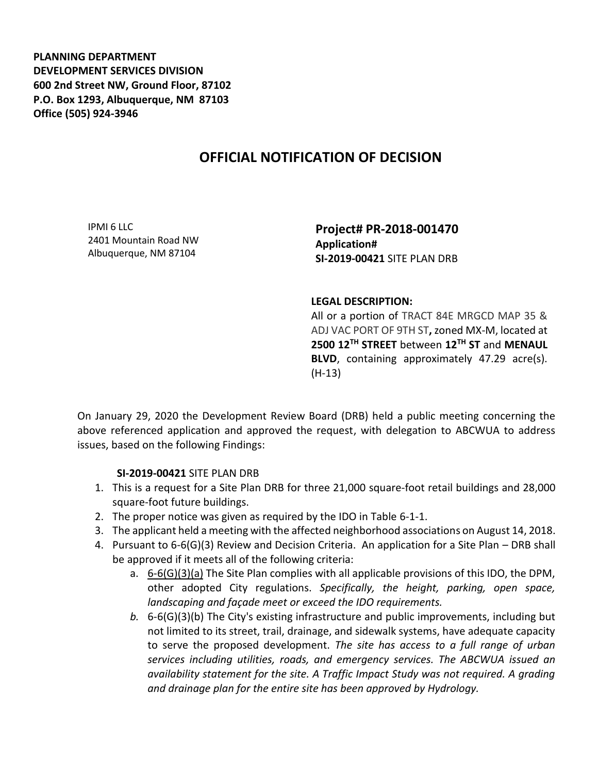**PLANNING DEPARTMENT DEVELOPMENT SERVICES DIVISION 600 2nd Street NW, Ground Floor, 87102 P.O. Box 1293, Albuquerque, NM 87103 Office (505) 924-3946** 

## **OFFICIAL NOTIFICATION OF DECISION**

IPMI 6 LLC 2401 Mountain Road NW Albuquerque, NM 87104

**Project# PR-2018-001470 Application# SI-2019-00421** SITE PLAN DRB

## **LEGAL DESCRIPTION:**

All or a portion of TRACT 84E MRGCD MAP 35 & ADJ VAC PORT OF 9TH ST**,** zoned MX-M, located at **2500 12TH STREET** between **12TH ST** and **MENAUL BLVD**, containing approximately 47.29 acre(s). (H-13)

On January 29, 2020 the Development Review Board (DRB) held a public meeting concerning the above referenced application and approved the request, with delegation to ABCWUA to address issues, based on the following Findings:

## **SI-2019-00421** SITE PLAN DRB

- 1. This is a request for a Site Plan DRB for three 21,000 square-foot retail buildings and 28,000 square-foot future buildings.
- 2. The proper notice was given as required by the IDO in Table 6-1-1.
- 3. The applicant held a meeting with the affected neighborhood associations on August 14, 2018.
- 4. Pursuant to 6-6(G)(3) Review and Decision Criteria. An application for a Site Plan DRB shall be approved if it meets all of the following criteria:
	- a.  $6-6(6)(3)(a)$  The Site Plan complies with all applicable provisions of this IDO, the DPM, other adopted City regulations. *Specifically, the height, parking, open space, landscaping and façade meet or exceed the IDO requirements.*
	- *b.* 6-6(G)(3)(b) The City's existing infrastructure and public improvements, including but not limited to its street, trail, drainage, and sidewalk systems, have adequate capacity to serve the proposed development. *The site has access to a full range of urban services including utilities, roads, and emergency services. The ABCWUA issued an availability statement for the site. A Traffic Impact Study was not required. A grading and drainage plan for the entire site has been approved by Hydrology.*